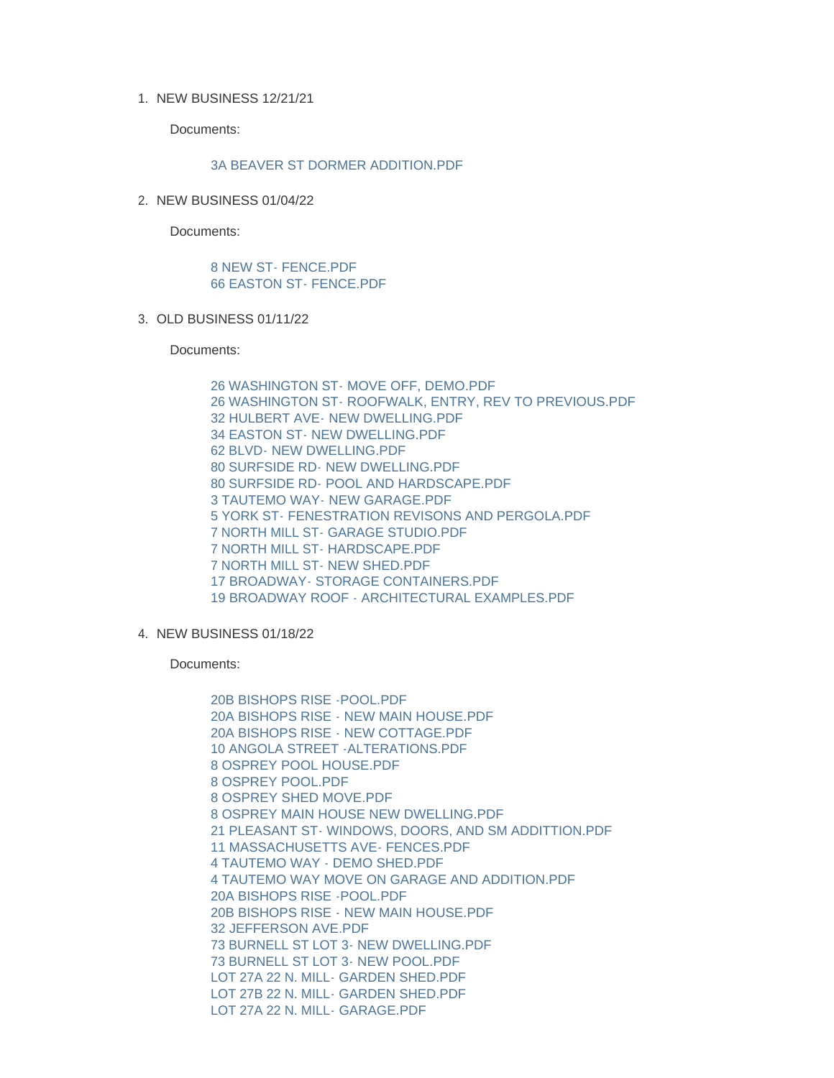1. NEW BUSINESS 12/21/21

Documents:

## [3A BEAVER ST DORMER ADDITION.PDF](https://www.nantucket-ma.gov/AgendaCenter/ViewFile/Item/4435?fileID=36332)

2. NEW BUSINESS 01/04/22

Documents:

## [8 NEW ST- FENCE.PDF](https://www.nantucket-ma.gov/AgendaCenter/ViewFile/Item/4436?fileID=36333) [66 EASTON ST- FENCE.PDF](https://www.nantucket-ma.gov/AgendaCenter/ViewFile/Item/4436?fileID=36334)

OLD BUSINESS 01/11/22 3.

Documents:

[26 WASHINGTON ST- MOVE OFF, DEMO.PDF](https://www.nantucket-ma.gov/AgendaCenter/ViewFile/Item/4437?fileID=36335) [26 WASHINGTON ST- ROOFWALK, ENTRY, REV TO PREVIOUS.PDF](https://www.nantucket-ma.gov/AgendaCenter/ViewFile/Item/4437?fileID=36336) [32 HULBERT AVE- NEW DWELLING.PDF](https://www.nantucket-ma.gov/AgendaCenter/ViewFile/Item/4437?fileID=36337) [34 EASTON ST- NEW DWELLING.PDF](https://www.nantucket-ma.gov/AgendaCenter/ViewFile/Item/4437?fileID=36338) [62 BLVD- NEW DWELLING.PDF](https://www.nantucket-ma.gov/AgendaCenter/ViewFile/Item/4437?fileID=36339) [80 SURFSIDE RD- NEW DWELLING.PDF](https://www.nantucket-ma.gov/AgendaCenter/ViewFile/Item/4437?fileID=36340) [80 SURFSIDE RD- POOL AND HARDSCAPE.PDF](https://www.nantucket-ma.gov/AgendaCenter/ViewFile/Item/4437?fileID=36341) [3 TAUTEMO WAY- NEW GARAGE.PDF](https://www.nantucket-ma.gov/AgendaCenter/ViewFile/Item/4437?fileID=36342) [5 YORK ST- FENESTRATION REVISONS AND PERGOLA.PDF](https://www.nantucket-ma.gov/AgendaCenter/ViewFile/Item/4437?fileID=36343) [7 NORTH MILL ST- GARAGE STUDIO.PDF](https://www.nantucket-ma.gov/AgendaCenter/ViewFile/Item/4437?fileID=36344) [7 NORTH MILL ST- HARDSCAPE.PDF](https://www.nantucket-ma.gov/AgendaCenter/ViewFile/Item/4437?fileID=36345) [7 NORTH MILL ST- NEW SHED.PDF](https://www.nantucket-ma.gov/AgendaCenter/ViewFile/Item/4437?fileID=36346) [17 BROADWAY- STORAGE CONTAINERS.PDF](https://www.nantucket-ma.gov/AgendaCenter/ViewFile/Item/4437?fileID=36347) [19 BROADWAY ROOF - ARCHITECTURAL EXAMPLES.PDF](https://www.nantucket-ma.gov/AgendaCenter/ViewFile/Item/4437?fileID=36348)

4. NEW BUSINESS 01/18/22

Documents:

[20B BISHOPS RISE -POOL.PDF](https://www.nantucket-ma.gov/AgendaCenter/ViewFile/Item/4438?fileID=36349) [20A BISHOPS RISE - NEW MAIN HOUSE.PDF](https://www.nantucket-ma.gov/AgendaCenter/ViewFile/Item/4438?fileID=36350) [20A BISHOPS RISE - NEW COTTAGE.PDF](https://www.nantucket-ma.gov/AgendaCenter/ViewFile/Item/4438?fileID=36351) [10 ANGOLA STREET -ALTERATIONS.PDF](https://www.nantucket-ma.gov/AgendaCenter/ViewFile/Item/4438?fileID=36352) [8 OSPREY POOL HOUSE.PDF](https://www.nantucket-ma.gov/AgendaCenter/ViewFile/Item/4438?fileID=36353) [8 OSPREY POOL.PDF](https://www.nantucket-ma.gov/AgendaCenter/ViewFile/Item/4438?fileID=36354) [8 OSPREY SHED MOVE.PDF](https://www.nantucket-ma.gov/AgendaCenter/ViewFile/Item/4438?fileID=36355) [8 OSPREY MAIN HOUSE NEW DWELLING.PDF](https://www.nantucket-ma.gov/AgendaCenter/ViewFile/Item/4438?fileID=36356) [21 PLEASANT ST- WINDOWS, DOORS, AND SM ADDITTION.PDF](https://www.nantucket-ma.gov/AgendaCenter/ViewFile/Item/4438?fileID=36357) [11 MASSACHUSETTS AVE- FENCES.PDF](https://www.nantucket-ma.gov/AgendaCenter/ViewFile/Item/4438?fileID=36358) [4 TAUTEMO WAY - DEMO SHED.PDF](https://www.nantucket-ma.gov/AgendaCenter/ViewFile/Item/4438?fileID=36359) [4 TAUTEMO WAY MOVE ON GARAGE AND ADDITION.PDF](https://www.nantucket-ma.gov/AgendaCenter/ViewFile/Item/4438?fileID=36360) [20A BISHOPS RISE -POOL.PDF](https://www.nantucket-ma.gov/AgendaCenter/ViewFile/Item/4438?fileID=36361) [20B BISHOPS RISE - NEW MAIN HOUSE.PDF](https://www.nantucket-ma.gov/AgendaCenter/ViewFile/Item/4438?fileID=36362) [32 JEFFERSON AVE.PDF](https://www.nantucket-ma.gov/AgendaCenter/ViewFile/Item/4438?fileID=36363) [73 BURNELL ST LOT 3- NEW DWELLING.PDF](https://www.nantucket-ma.gov/AgendaCenter/ViewFile/Item/4438?fileID=36364) [73 BURNELL ST LOT 3- NEW POOL.PDF](https://www.nantucket-ma.gov/AgendaCenter/ViewFile/Item/4438?fileID=36365) [LOT 27A 22 N. MILL- GARDEN SHED.PDF](https://www.nantucket-ma.gov/AgendaCenter/ViewFile/Item/4438?fileID=36366) [LOT 27B 22 N. MILL- GARDEN SHED.PDF](https://www.nantucket-ma.gov/AgendaCenter/ViewFile/Item/4438?fileID=36367) [LOT 27A 22 N. MILL- GARAGE.PDF](https://www.nantucket-ma.gov/AgendaCenter/ViewFile/Item/4438?fileID=36368)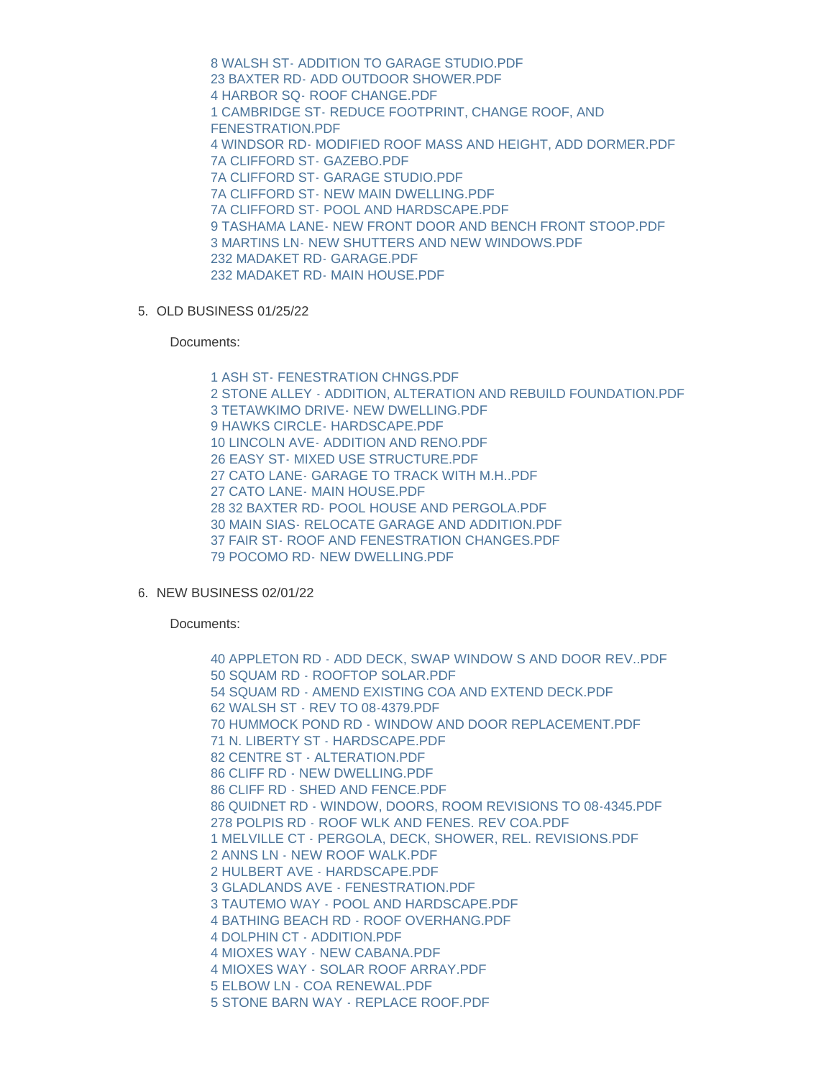[8 WALSH ST- ADDITION TO GARAGE STUDIO.PDF](https://www.nantucket-ma.gov/AgendaCenter/ViewFile/Item/4438?fileID=36369) [23 BAXTER RD- ADD OUTDOOR SHOWER.PDF](https://www.nantucket-ma.gov/AgendaCenter/ViewFile/Item/4438?fileID=36370) [4 HARBOR SQ- ROOF CHANGE.PDF](https://www.nantucket-ma.gov/AgendaCenter/ViewFile/Item/4438?fileID=36371) [1 CAMBRIDGE ST- REDUCE FOOTPRINT, CHANGE ROOF, AND](https://www.nantucket-ma.gov/AgendaCenter/ViewFile/Item/4438?fileID=36372)  FENESTRATION.PDF [4 WINDSOR RD- MODIFIED ROOF MASS AND HEIGHT, ADD DORMER.PDF](https://www.nantucket-ma.gov/AgendaCenter/ViewFile/Item/4438?fileID=36373) [7A CLIFFORD ST- GAZEBO.PDF](https://www.nantucket-ma.gov/AgendaCenter/ViewFile/Item/4438?fileID=36374) [7A CLIFFORD ST- GARAGE STUDIO.PDF](https://www.nantucket-ma.gov/AgendaCenter/ViewFile/Item/4438?fileID=36375) [7A CLIFFORD ST- NEW MAIN DWELLING.PDF](https://www.nantucket-ma.gov/AgendaCenter/ViewFile/Item/4438?fileID=36376) [7A CLIFFORD ST- POOL AND HARDSCAPE.PDF](https://www.nantucket-ma.gov/AgendaCenter/ViewFile/Item/4438?fileID=36377) [9 TASHAMA LANE- NEW FRONT DOOR AND BENCH FRONT STOOP.PDF](https://www.nantucket-ma.gov/AgendaCenter/ViewFile/Item/4438?fileID=36378) [3 MARTINS LN- NEW SHUTTERS AND NEW WINDOWS.PDF](https://www.nantucket-ma.gov/AgendaCenter/ViewFile/Item/4438?fileID=36379) [232 MADAKET RD- GARAGE.PDF](https://www.nantucket-ma.gov/AgendaCenter/ViewFile/Item/4438?fileID=36380) [232 MADAKET RD- MAIN HOUSE.PDF](https://www.nantucket-ma.gov/AgendaCenter/ViewFile/Item/4438?fileID=36381)

5. OLD BUSINESS 01/25/22

Documents:

[1 ASH ST- FENESTRATION CHNGS.PDF](https://www.nantucket-ma.gov/AgendaCenter/ViewFile/Item/4439?fileID=36382) [2 STONE ALLEY - ADDITION, ALTERATION AND REBUILD FOUNDATION.PDF](https://www.nantucket-ma.gov/AgendaCenter/ViewFile/Item/4439?fileID=36383) [3 TETAWKIMO DRIVE- NEW DWELLING.PDF](https://www.nantucket-ma.gov/AgendaCenter/ViewFile/Item/4439?fileID=36384) [9 HAWKS CIRCLE- HARDSCAPE.PDF](https://www.nantucket-ma.gov/AgendaCenter/ViewFile/Item/4439?fileID=36385) [10 LINCOLN AVE- ADDITION AND RENO.PDF](https://www.nantucket-ma.gov/AgendaCenter/ViewFile/Item/4439?fileID=36386) [26 EASY ST- MIXED USE STRUCTURE.PDF](https://www.nantucket-ma.gov/AgendaCenter/ViewFile/Item/4439?fileID=36387) 27 CATO LANE- GARAGE TO TRACK WITH M H. PDF [27 CATO LANE- MAIN HOUSE.PDF](https://www.nantucket-ma.gov/AgendaCenter/ViewFile/Item/4439?fileID=36389) [28 32 BAXTER RD- POOL HOUSE AND PERGOLA.PDF](https://www.nantucket-ma.gov/AgendaCenter/ViewFile/Item/4439?fileID=36390) [30 MAIN SIAS- RELOCATE GARAGE AND ADDITION.PDF](https://www.nantucket-ma.gov/AgendaCenter/ViewFile/Item/4439?fileID=36391) [37 FAIR ST- ROOF AND FENESTRATION CHANGES.PDF](https://www.nantucket-ma.gov/AgendaCenter/ViewFile/Item/4439?fileID=36392) [79 POCOMO RD- NEW DWELLING.PDF](https://www.nantucket-ma.gov/AgendaCenter/ViewFile/Item/4439?fileID=36393)

6. NEW BUSINESS 02/01/22

Documents:

[40 APPLETON RD - ADD DECK, SWAP WINDOW S AND DOOR REV..PDF](https://www.nantucket-ma.gov/AgendaCenter/ViewFile/Item/4440?fileID=36394) [50 SQUAM RD - ROOFTOP SOLAR.PDF](https://www.nantucket-ma.gov/AgendaCenter/ViewFile/Item/4440?fileID=36395) [54 SQUAM RD - AMEND EXISTING COA AND EXTEND DECK.PDF](https://www.nantucket-ma.gov/AgendaCenter/ViewFile/Item/4440?fileID=36396) [62 WALSH ST - REV TO 08-4379.PDF](https://www.nantucket-ma.gov/AgendaCenter/ViewFile/Item/4440?fileID=36397) [70 HUMMOCK POND RD - WINDOW AND DOOR REPLACEMENT.PDF](https://www.nantucket-ma.gov/AgendaCenter/ViewFile/Item/4440?fileID=36398) [71 N. LIBERTY ST - HARDSCAPE.PDF](https://www.nantucket-ma.gov/AgendaCenter/ViewFile/Item/4440?fileID=36399) [82 CENTRE ST - ALTERATION.PDF](https://www.nantucket-ma.gov/AgendaCenter/ViewFile/Item/4440?fileID=36400) [86 CLIFF RD - NEW DWELLING.PDF](https://www.nantucket-ma.gov/AgendaCenter/ViewFile/Item/4440?fileID=36401) [86 CLIFF RD - SHED AND FENCE.PDF](https://www.nantucket-ma.gov/AgendaCenter/ViewFile/Item/4440?fileID=36402) [86 QUIDNET RD - WINDOW, DOORS, ROOM REVISIONS TO 08-4345.PDF](https://www.nantucket-ma.gov/AgendaCenter/ViewFile/Item/4440?fileID=36403) [278 POLPIS RD - ROOF WLK AND FENES. REV COA.PDF](https://www.nantucket-ma.gov/AgendaCenter/ViewFile/Item/4440?fileID=36404) [1 MELVILLE CT - PERGOLA, DECK, SHOWER, REL. REVISIONS.PDF](https://www.nantucket-ma.gov/AgendaCenter/ViewFile/Item/4440?fileID=36405) [2 ANNS LN - NEW ROOF WALK.PDF](https://www.nantucket-ma.gov/AgendaCenter/ViewFile/Item/4440?fileID=36406) [2 HULBERT AVE - HARDSCAPE.PDF](https://www.nantucket-ma.gov/AgendaCenter/ViewFile/Item/4440?fileID=36407) [3 GLADLANDS AVE - FENESTRATION.PDF](https://www.nantucket-ma.gov/AgendaCenter/ViewFile/Item/4440?fileID=36408) [3 TAUTEMO WAY - POOL AND HARDSCAPE.PDF](https://www.nantucket-ma.gov/AgendaCenter/ViewFile/Item/4440?fileID=36409) [4 BATHING BEACH RD - ROOF OVERHANG.PDF](https://www.nantucket-ma.gov/AgendaCenter/ViewFile/Item/4440?fileID=36410) [4 DOLPHIN CT - ADDITION.PDF](https://www.nantucket-ma.gov/AgendaCenter/ViewFile/Item/4440?fileID=36411) [4 MIOXES WAY - NEW CABANA.PDF](https://www.nantucket-ma.gov/AgendaCenter/ViewFile/Item/4440?fileID=36412) [4 MIOXES WAY - SOLAR ROOF ARRAY.PDF](https://www.nantucket-ma.gov/AgendaCenter/ViewFile/Item/4440?fileID=36413) [5 ELBOW LN - COA RENEWAL.PDF](https://www.nantucket-ma.gov/AgendaCenter/ViewFile/Item/4440?fileID=36414) [5 STONE BARN WAY - REPLACE ROOF.PDF](https://www.nantucket-ma.gov/AgendaCenter/ViewFile/Item/4440?fileID=36415)